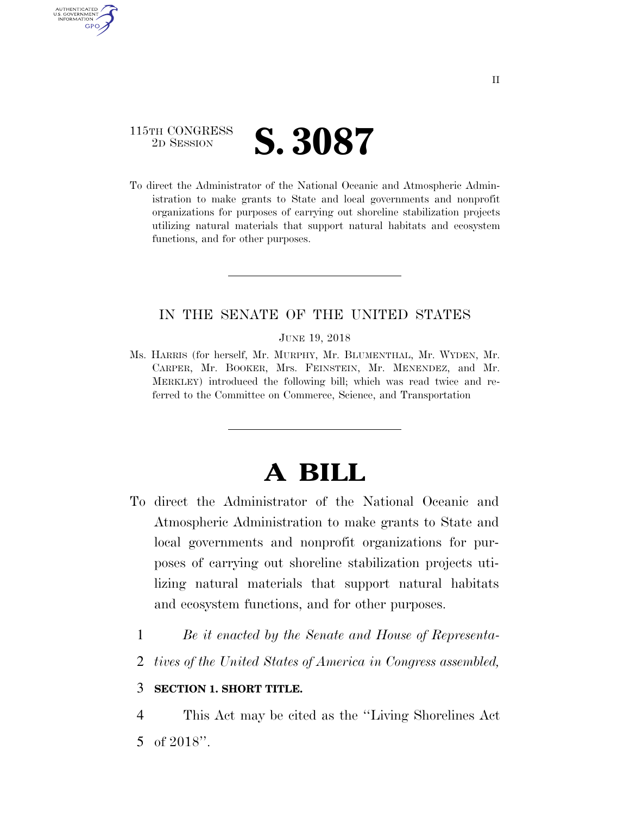

AUTHENTICATED U.S. GOVERNMENT **GPO** 

> To direct the Administrator of the National Oceanic and Atmospheric Administration to make grants to State and local governments and nonprofit organizations for purposes of carrying out shoreline stabilization projects utilizing natural materials that support natural habitats and ecosystem functions, and for other purposes.

## IN THE SENATE OF THE UNITED STATES

JUNE 19, 2018

Ms. HARRIS (for herself, Mr. MURPHY, Mr. BLUMENTHAL, Mr. WYDEN, Mr. CARPER, Mr. BOOKER, Mrs. FEINSTEIN, Mr. MENENDEZ, and Mr. MERKLEY) introduced the following bill; which was read twice and referred to the Committee on Commerce, Science, and Transportation

## **A BILL**

- To direct the Administrator of the National Oceanic and Atmospheric Administration to make grants to State and local governments and nonprofit organizations for purposes of carrying out shoreline stabilization projects utilizing natural materials that support natural habitats and ecosystem functions, and for other purposes.
	- 1 *Be it enacted by the Senate and House of Representa-*
	- 2 *tives of the United States of America in Congress assembled,*

## 3 **SECTION 1. SHORT TITLE.**

4 This Act may be cited as the ''Living Shorelines Act 5 of 2018''.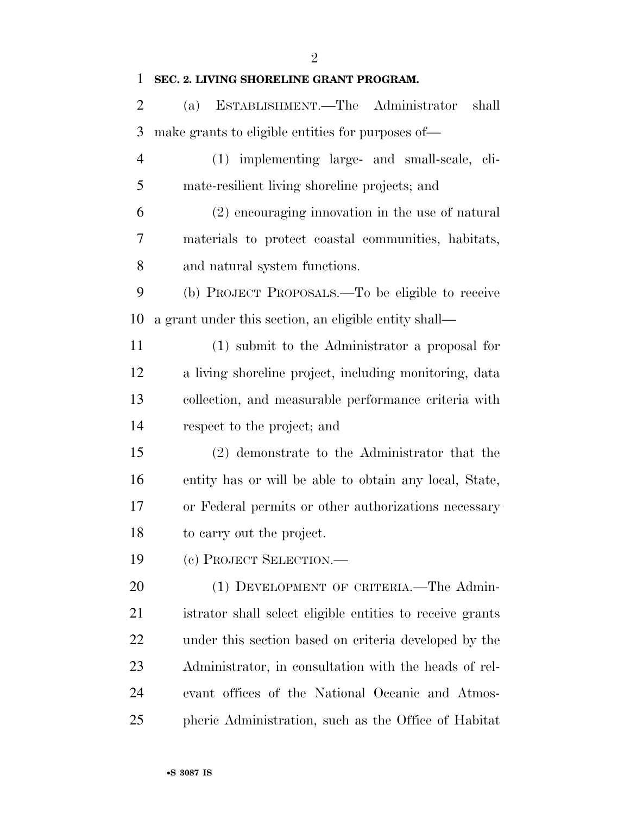$\mathfrak{D}$ 

## **SEC. 2. LIVING SHORELINE GRANT PROGRAM.**

 (a) ESTABLISHMENT.—The Administrator shall make grants to eligible entities for purposes of—

- (1) implementing large- and small-scale, cli-mate-resilient living shoreline projects; and
- (2) encouraging innovation in the use of natural materials to protect coastal communities, habitats, and natural system functions.

 (b) PROJECT PROPOSALS.—To be eligible to receive a grant under this section, an eligible entity shall—

 (1) submit to the Administrator a proposal for a living shoreline project, including monitoring, data collection, and measurable performance criteria with respect to the project; and

 (2) demonstrate to the Administrator that the entity has or will be able to obtain any local, State, or Federal permits or other authorizations necessary to carry out the project.

(c) PROJECT SELECTION.—

20 (1) DEVELOPMENT OF CRITERIA.—The Admin- istrator shall select eligible entities to receive grants under this section based on criteria developed by the Administrator, in consultation with the heads of rel- evant offices of the National Oceanic and Atmos-pheric Administration, such as the Office of Habitat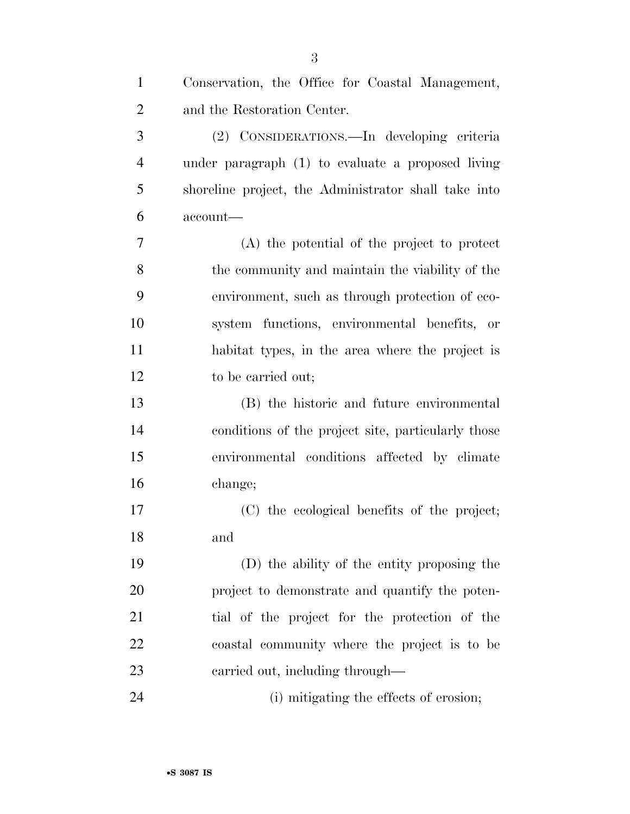| $\mathbf{1}$   | Conservation, the Office for Coastal Management,     |
|----------------|------------------------------------------------------|
| $\overline{2}$ | and the Restoration Center.                          |
| 3              | (2) CONSIDERATIONS.—In developing criteria           |
| $\overline{4}$ | under paragraph (1) to evaluate a proposed living    |
| 5              | shoreline project, the Administrator shall take into |
| 6              | account-                                             |
| 7              | (A) the potential of the project to protect          |
| 8              | the community and maintain the viability of the      |
| 9              | environment, such as through protection of eco-      |
| 10             | system functions, environmental benefits, or         |
| 11             | habitat types, in the area where the project is      |
| 12             | to be carried out;                                   |
| 13             | (B) the historic and future environmental            |
| 14             | conditions of the project site, particularly those   |
| 15             | environmental conditions affected by climate         |
| 16             | change;                                              |
| 17             | (C) the ecological benefits of the project;          |
| 18             | and                                                  |
| 19             | (D) the ability of the entity proposing the          |
| 20             | project to demonstrate and quantify the poten-       |
| 21             | tial of the project for the protection of the        |
| 22             | coastal community where the project is to be         |
| 23             | carried out, including through—                      |
| 24             | (i) mitigating the effects of erosion;               |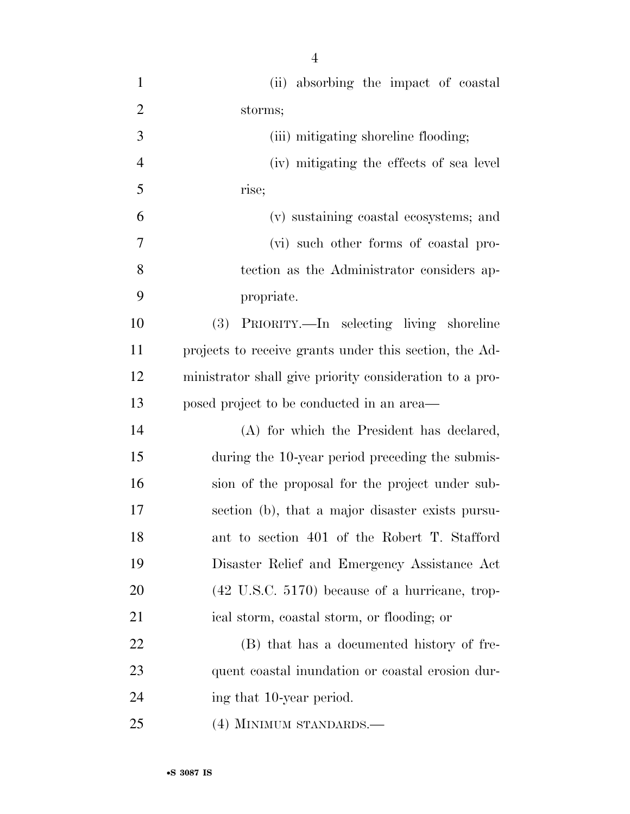| $\mathbf{1}$   | (ii) absorbing the impact of coastal                      |
|----------------|-----------------------------------------------------------|
| $\overline{2}$ | storms;                                                   |
| 3              | (iii) mitigating shoreline flooding;                      |
| $\overline{4}$ | (iv) mitigating the effects of sea level                  |
| 5              | rise;                                                     |
| 6              | (v) sustaining coastal ecosystems; and                    |
| 7              | (vi) such other forms of coastal pro-                     |
| 8              | tection as the Administrator considers ap-                |
| 9              | propriate.                                                |
| 10             | PRIORITY.—In selecting living shoreline<br>(3)            |
| 11             | projects to receive grants under this section, the Ad-    |
| 12             | ministrator shall give priority consideration to a pro-   |
| 13             | posed project to be conducted in an area—                 |
| 14             | (A) for which the President has declared,                 |
| 15             | during the 10-year period preceding the submis-           |
| 16             | sion of the proposal for the project under sub-           |
| 17             | section (b), that a major disaster exists pursu-          |
| 18             | ant to section 401 of the Robert T. Stafford              |
| 19             | Disaster Relief and Emergency Assistance Act              |
| 20             | $(42 \text{ U.S.C. } 5170)$ because of a hurricane, trop- |
| 21             | ical storm, coastal storm, or flooding; or                |
| 22             | (B) that has a documented history of fre-                 |
| 23             | quent coastal inundation or coastal erosion dur-          |
| 24             | ing that 10-year period.                                  |
| 25             | (4) MINIMUM STANDARDS.—                                   |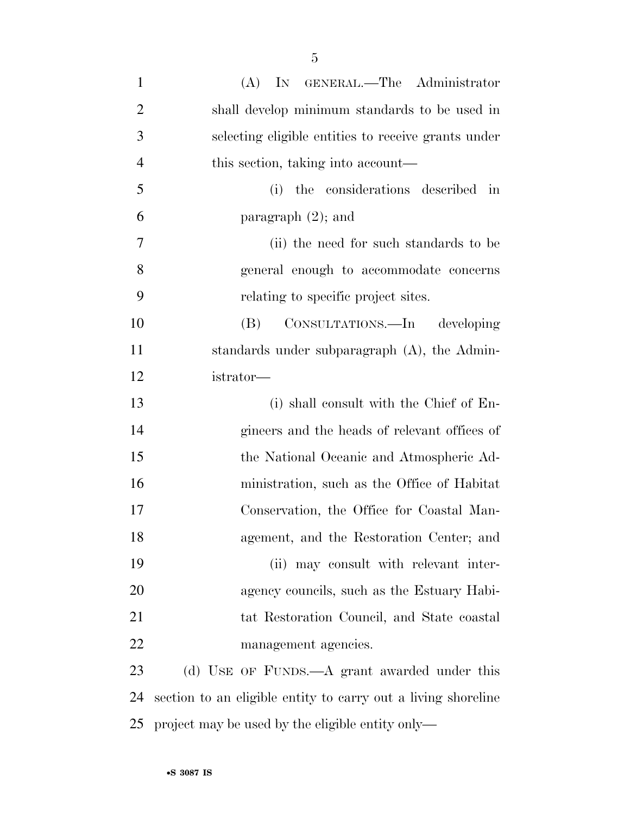| $\mathbf{1}$   | IN GENERAL.—The Administrator<br>(A)                |
|----------------|-----------------------------------------------------|
| $\overline{2}$ | shall develop minimum standards to be used in       |
| 3              | selecting eligible entities to receive grants under |
| $\overline{4}$ | this section, taking into account—                  |
| 5              | the considerations described in<br>(i)              |
| 6              | paragraph $(2)$ ; and                               |
| $\overline{7}$ | (ii) the need for such standards to be              |
| 8              | general enough to accommodate concerns              |
| 9              | relating to specific project sites.                 |
| 10             | CONSULTATIONS.—In developing<br>(B)                 |
| 11             | standards under subparagraph $(A)$ , the Admin-     |
| 12             | istrator-                                           |
| 13             | (i) shall consult with the Chief of En-             |
| 14             | gineers and the heads of relevant offices of        |
| 15             | the National Oceanic and Atmospheric Ad-            |
| 16             | ministration, such as the Office of Habitat         |
| 17             | Conservation, the Office for Coastal Man-           |
| 18             | agement, and the Restoration Center; and            |
| 19             | (ii) may consult with relevant inter-               |
| 20             | agency councils, such as the Estuary Habi-          |
| 21             | tat Restoration Council, and State coastal          |
| 22             | management agencies.                                |
| วว             | (d) Here are Funne A grant awarded under this       |

 (d) USE OF FUNDS.—A grant awarded under this section to an eligible entity to carry out a living shoreline project may be used by the eligible entity only—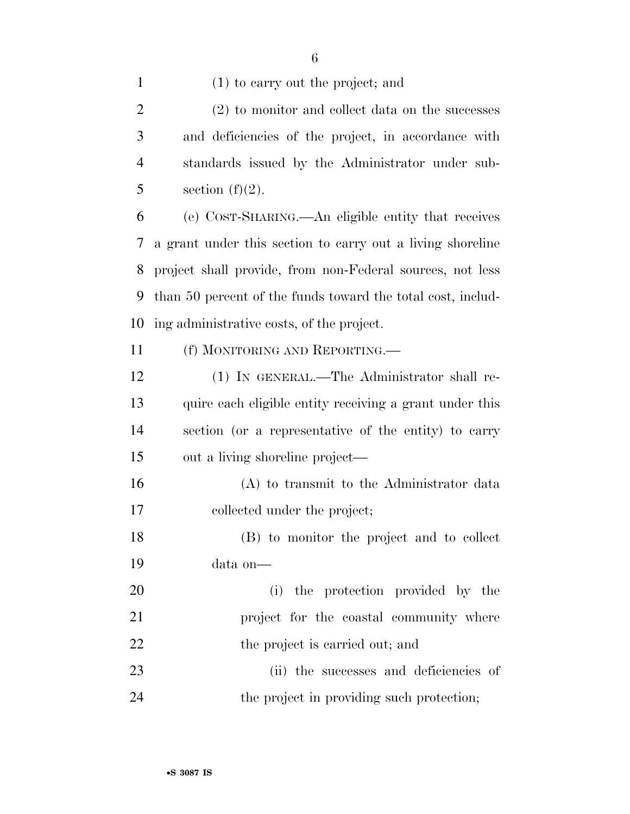| $\mathbf{1}$   | $(1)$ to carry out the project; and                         |
|----------------|-------------------------------------------------------------|
| $\overline{2}$ | (2) to monitor and collect data on the successes            |
| 3              | and deficiencies of the project, in accordance with         |
| $\overline{4}$ | standards issued by the Administrator under sub-            |
| 5              | section $(f)(2)$ .                                          |
| 6              | (e) COST-SHARING.—An eligible entity that receives          |
| 7              | a grant under this section to carry out a living shoreline  |
| 8              | project shall provide, from non-Federal sources, not less   |
| 9              | than 50 percent of the funds toward the total cost, includ- |
| 10             | ing administrative costs, of the project.                   |
| 11             | (f) MONITORING AND REPORTING.—                              |
| 12             | (1) IN GENERAL.—The Administrator shall re-                 |
| 13             | quire each eligible entity receiving a grant under this     |
| 14             | section (or a representative of the entity) to carry        |
| 15             | out a living shoreline project—                             |
| 16             | (A) to transmit to the Administrator data                   |
| 17             | collected under the project;                                |
| 18             | (B) to monitor the project and to collect                   |
| 19             | data on-                                                    |
| 20             | (i) the protection provided by the                          |
| 21             | project for the coastal community where                     |
| 22             | the project is carried out; and                             |
| 23             | (ii) the successes and deficiencies of                      |
|                |                                                             |

24 the project in providing such protection;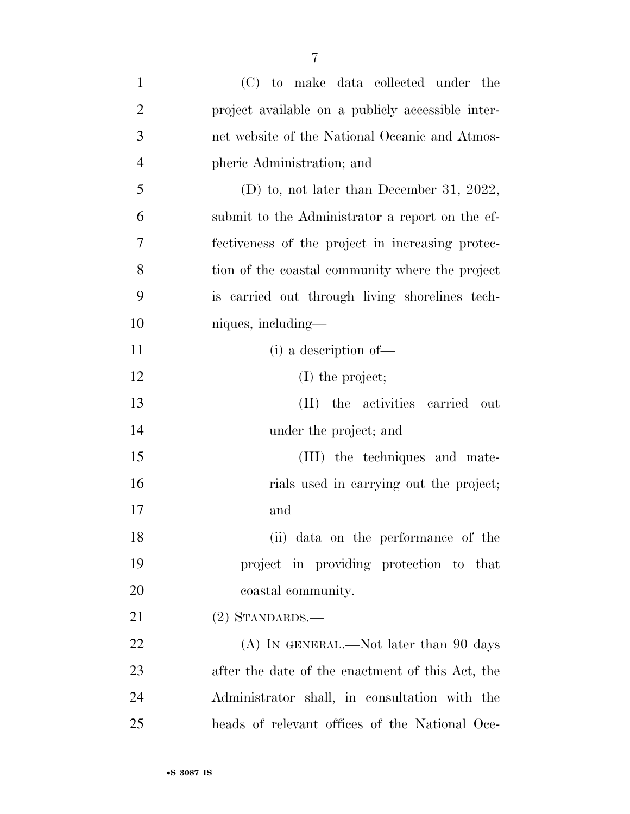| $\mathbf{1}$   | (C) to make data collected under the              |
|----------------|---------------------------------------------------|
| $\overline{2}$ | project available on a publicly accessible inter- |
| 3              | net website of the National Oceanic and Atmos-    |
| $\overline{4}$ | pheric Administration; and                        |
| 5              | (D) to, not later than December 31, 2022,         |
| 6              | submit to the Administrator a report on the ef-   |
| 7              | fectiveness of the project in increasing protec-  |
| 8              | tion of the coastal community where the project   |
| 9              | is carried out through living shorelines tech-    |
| 10             | niques, including—                                |
| 11             | (i) a description of-                             |
| 12             | $(I)$ the project;                                |
| 13             | the activities carried<br>(II)<br>out             |
| 14             | under the project; and                            |
| 15             | (III) the techniques and mate-                    |
| 16             | rials used in carrying out the project;           |
| 17             | and                                               |
| 18             | (ii) data on the performance of the               |
| 19             | project in providing protection to that           |
| 20             | coastal community.                                |
| 21             | $(2)$ STANDARDS.—                                 |
| <u>22</u>      | $(A)$ In GENERAL.—Not later than 90 days          |
| 23             | after the date of the enactment of this Act, the  |
| 24             | Administrator shall, in consultation with the     |
| 25             | heads of relevant offices of the National Oce-    |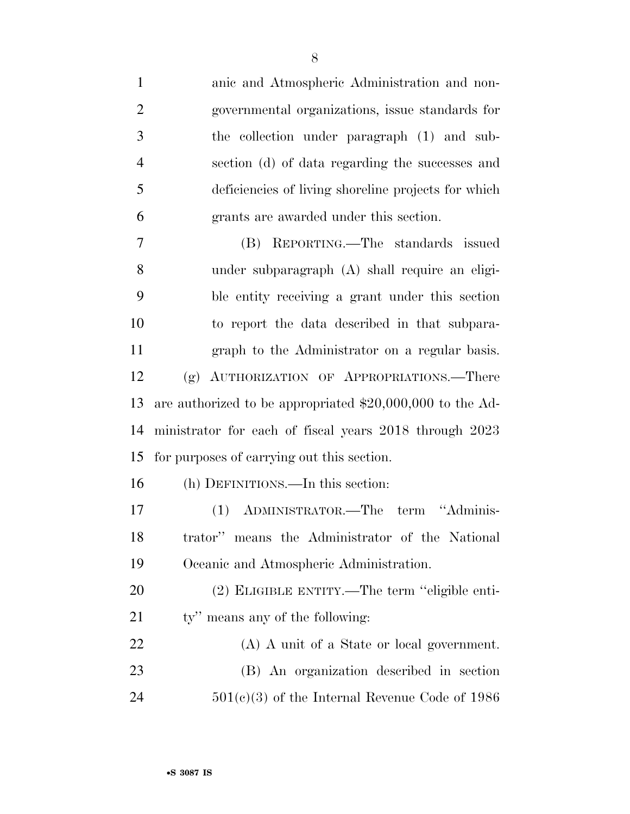| $\mathbf{1}$   | anic and Atmospheric Administration and non-               |
|----------------|------------------------------------------------------------|
| $\overline{2}$ | governmental organizations, issue standards for            |
| 3              | the collection under paragraph (1) and sub-                |
| $\overline{4}$ | section (d) of data regarding the successes and            |
| 5              | deficiencies of living shoreline projects for which        |
| 6              | grants are awarded under this section.                     |
| 7              | (B) REPORTING.—The standards issued                        |
| 8              | under subparagraph (A) shall require an eligi-             |
| 9              | ble entity receiving a grant under this section            |
| 10             | to report the data described in that subpara-              |
| 11             | graph to the Administrator on a regular basis.             |
| 12             | (g) AUTHORIZATION OF APPROPRIATIONS.—There                 |
| 13             | are authorized to be appropriated $$20,000,000$ to the Ad- |
| 14             | ministrator for each of fiscal years 2018 through 2023     |
| 15             | for purposes of carrying out this section.                 |
| 16             | (h) DEFINITIONS.—In this section:                          |
| 17             | (1) ADMINISTRATOR.—The term "Adminis-                      |
| 18             | trator" means the Administrator of the National            |
| 19             | Oceanic and Atmospheric Administration.                    |
| 20             | (2) ELIGIBLE ENTITY.—The term "eligible enti-              |
| 21             | ty" means any of the following:                            |
| 22             | (A) A unit of a State or local government.                 |
| 23             | (B) An organization described in section                   |
| 24             | $501(c)(3)$ of the Internal Revenue Code of 1986           |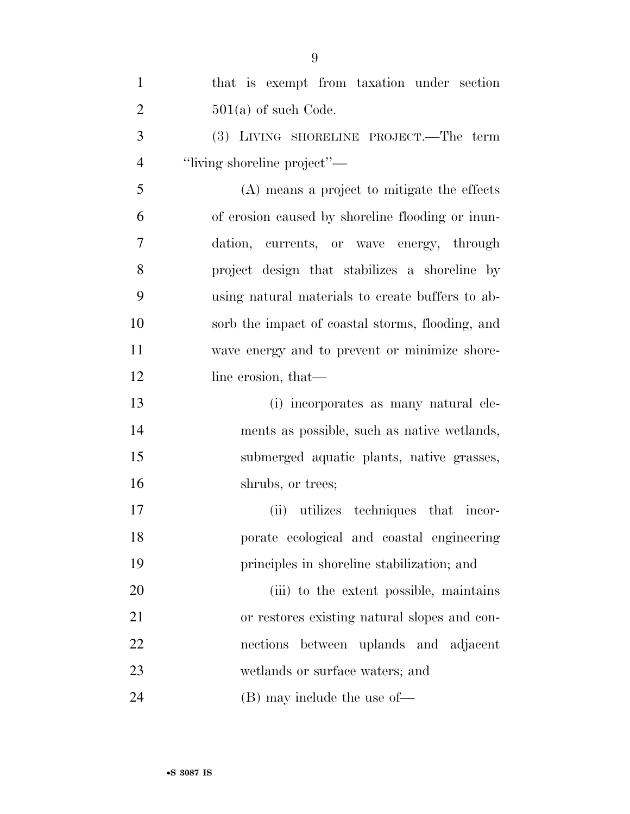| $\mathbf{1}$   | that is exempt from taxation under section       |
|----------------|--------------------------------------------------|
| $\overline{2}$ | $501(a)$ of such Code.                           |
| 3              | (3) LIVING SHORELINE PROJECT.—The term           |
| $\overline{4}$ | "living shoreline project"—                      |
| 5              | (A) means a project to mitigate the effects      |
| 6              | of erosion caused by shoreline flooding or inun- |
| 7              | dation, currents, or wave energy, through        |
| 8              | project design that stabilizes a shoreline by    |
| 9              | using natural materials to create buffers to ab- |
| 10             | sorb the impact of coastal storms, flooding, and |
| 11             | wave energy and to prevent or minimize shore-    |
| 12             | line erosion, that—                              |
| 13             | (i) incorporates as many natural ele-            |
| 14             | ments as possible, such as native wetlands,      |
| 15             | submerged aquatic plants, native grasses,        |
| 16             | shrubs, or trees;                                |
| 17             | (ii) utilizes techniques that incor-             |
| 18             | porate ecological and coastal engineering        |
| 19             | principles in shoreline stabilization; and       |
| 20             | (iii) to the extent possible, maintains          |
| 21             | or restores existing natural slopes and con-     |
| 22             | nections<br>between uplands and adjacent         |
| 23             | wetlands or surface waters; and                  |
| 24             | $(B)$ may include the use of —                   |